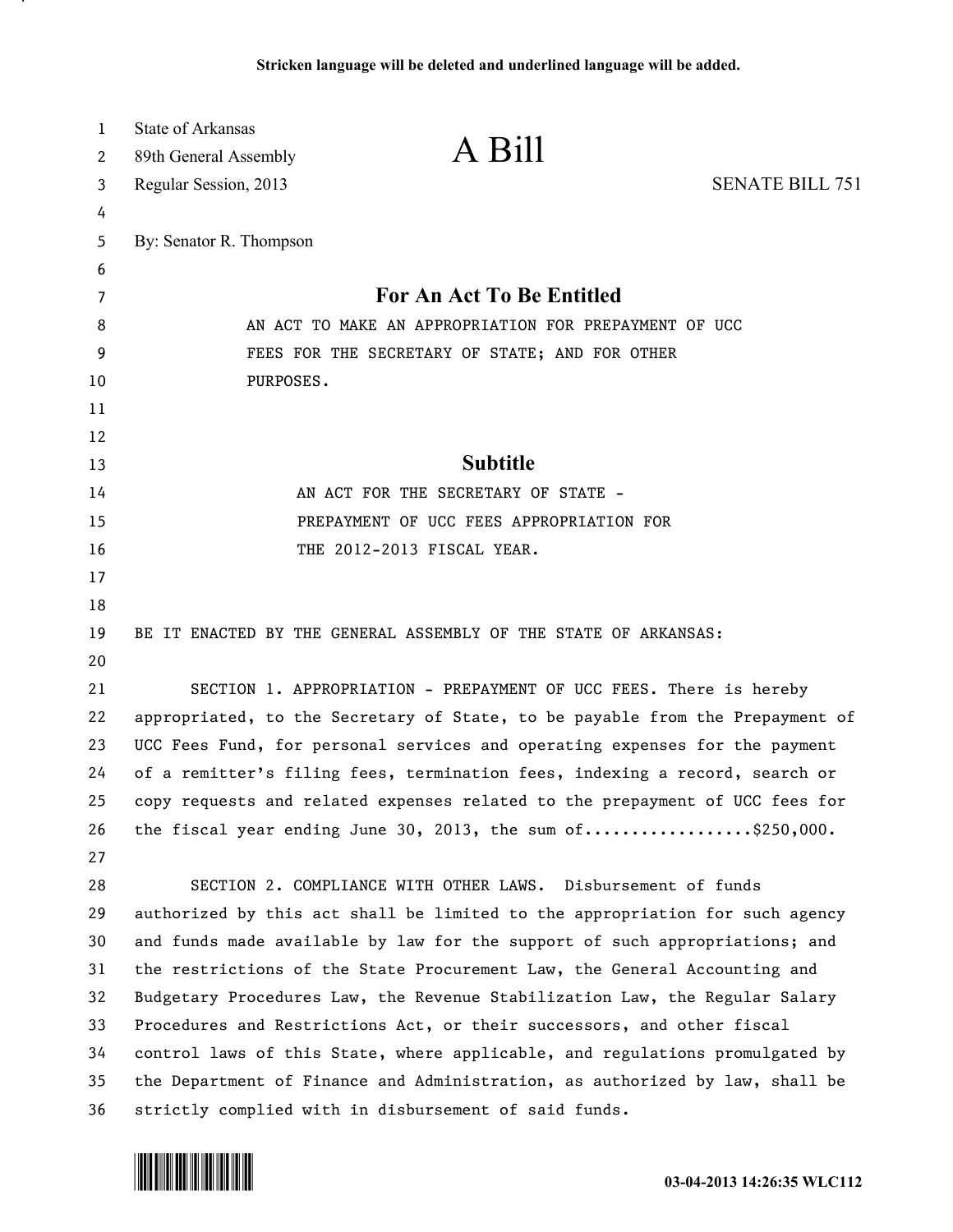| 1  | State of Arkansas                                                             |                                                                              |                        |
|----|-------------------------------------------------------------------------------|------------------------------------------------------------------------------|------------------------|
| 2  | 89th General Assembly                                                         | A Bill                                                                       |                        |
| 3  | Regular Session, 2013                                                         |                                                                              | <b>SENATE BILL 751</b> |
| 4  |                                                                               |                                                                              |                        |
| 5  | By: Senator R. Thompson                                                       |                                                                              |                        |
| 6  |                                                                               |                                                                              |                        |
| 7  |                                                                               | For An Act To Be Entitled                                                    |                        |
| 8  | AN ACT TO MAKE AN APPROPRIATION FOR PREPAYMENT OF UCC                         |                                                                              |                        |
| 9  |                                                                               | FEES FOR THE SECRETARY OF STATE; AND FOR OTHER                               |                        |
| 10 | PURPOSES.                                                                     |                                                                              |                        |
| 11 |                                                                               |                                                                              |                        |
| 12 |                                                                               |                                                                              |                        |
| 13 |                                                                               | <b>Subtitle</b>                                                              |                        |
| 14 |                                                                               | AN ACT FOR THE SECRETARY OF STATE -                                          |                        |
| 15 |                                                                               | PREPAYMENT OF UCC FEES APPROPRIATION FOR                                     |                        |
| 16 |                                                                               | THE 2012-2013 FISCAL YEAR.                                                   |                        |
| 17 |                                                                               |                                                                              |                        |
| 18 |                                                                               |                                                                              |                        |
| 19 |                                                                               | BE IT ENACTED BY THE GENERAL ASSEMBLY OF THE STATE OF ARKANSAS:              |                        |
| 20 |                                                                               |                                                                              |                        |
| 21 |                                                                               | SECTION 1. APPROPRIATION - PREPAYMENT OF UCC FEES. There is hereby           |                        |
| 22 | appropriated, to the Secretary of State, to be payable from the Prepayment of |                                                                              |                        |
| 23 |                                                                               | UCC Fees Fund, for personal services and operating expenses for the payment  |                        |
| 24 | of a remitter's filing fees, termination fees, indexing a record, search or   |                                                                              |                        |
| 25 |                                                                               | copy requests and related expenses related to the prepayment of UCC fees for |                        |
| 26 |                                                                               | the fiscal year ending June 30, 2013, the sum of\$250,000.                   |                        |
| 27 |                                                                               |                                                                              |                        |
| 28 |                                                                               | SECTION 2. COMPLIANCE WITH OTHER LAWS. Disbursement of funds                 |                        |
| 29 |                                                                               | authorized by this act shall be limited to the appropriation for such agency |                        |
| 30 |                                                                               | and funds made available by law for the support of such appropriations; and  |                        |
| 31 |                                                                               | the restrictions of the State Procurement Law, the General Accounting and    |                        |
| 32 |                                                                               | Budgetary Procedures Law, the Revenue Stabilization Law, the Regular Salary  |                        |
| 33 |                                                                               | Procedures and Restrictions Act, or their successors, and other fiscal       |                        |
| 34 |                                                                               | control laws of this State, where applicable, and regulations promulgated by |                        |
| 35 |                                                                               | the Department of Finance and Administration, as authorized by law, shall be |                        |
| 36 |                                                                               | strictly complied with in disbursement of said funds.                        |                        |



л.